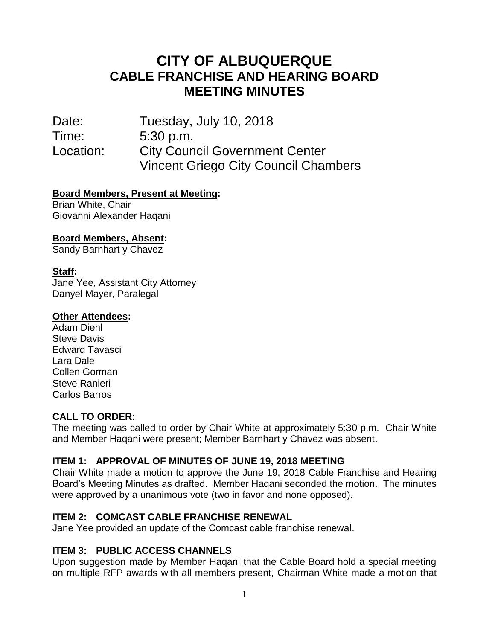# **CITY OF ALBUQUERQUE CABLE FRANCHISE AND HEARING BOARD MEETING MINUTES**

Date: Tuesday, July 10, 2018 Time: 5:30 p.m. Location: City Council Government Center Vincent Griego City Council Chambers

## **Board Members, Present at Meeting:**

Brian White, Chair Giovanni Alexander Haqani

## **Board Members, Absent:**

Sandy Barnhart y Chavez

#### **Staff:**

Jane Yee, Assistant City Attorney Danyel Mayer, Paralegal

#### **Other Attendees:**

Adam Diehl Steve Davis Edward Tavasci Lara Dale Collen Gorman Steve Ranieri Carlos Barros

## **CALL TO ORDER:**

The meeting was called to order by Chair White at approximately 5:30 p.m. Chair White and Member Haqani were present; Member Barnhart y Chavez was absent.

## **ITEM 1: APPROVAL OF MINUTES OF JUNE 19, 2018 MEETING**

Chair White made a motion to approve the June 19, 2018 Cable Franchise and Hearing Board's Meeting Minutes as drafted. Member Haqani seconded the motion. The minutes were approved by a unanimous vote (two in favor and none opposed).

## **ITEM 2: COMCAST CABLE FRANCHISE RENEWAL**

Jane Yee provided an update of the Comcast cable franchise renewal.

## **ITEM 3: PUBLIC ACCESS CHANNELS**

Upon suggestion made by Member Haqani that the Cable Board hold a special meeting on multiple RFP awards with all members present, Chairman White made a motion that